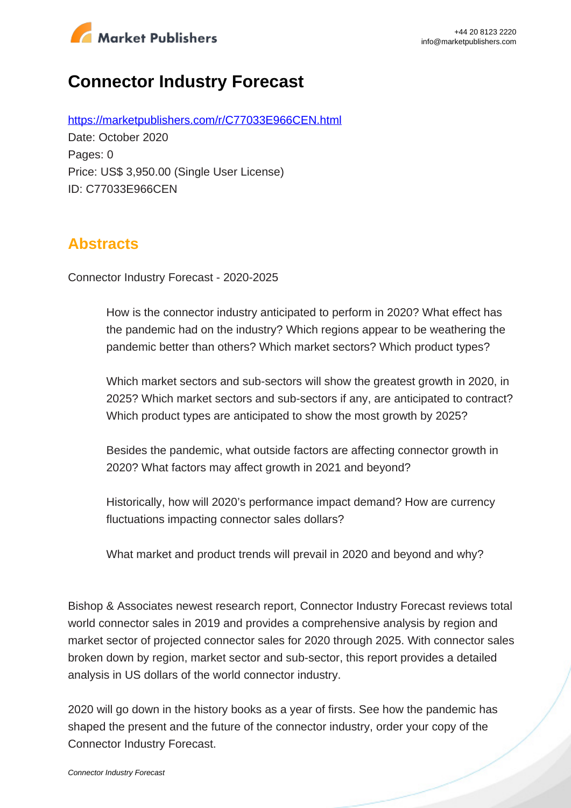

# **Connector Industry Forecast**

https://marketpublishers.com/r/C77033E966CEN.html Date: October 2020 Pages: 0 Price: US\$ 3,950.00 (Single User License) ID: C77033E966CEN

## **Abstracts**

Connector Industry Forecast - 2020-2025

How is the connector industry anticipated to perform in 2020? What effect has the pandemic had on the industry? Which regions appear to be weathering the pandemic better than others? Which market sectors? Which product types?

Which market sectors and sub-sectors will show the greatest growth in 2020, in 2025? Which market sectors and sub-sectors if any, are anticipated to contract? Which product types are anticipated to show the most growth by 2025?

Besides the pandemic, what outside factors are affecting connector growth in 2020? What factors may affect growth in 2021 and beyond?

Historically, how will 2020's performance impact demand? How are currency fluctuations impacting connector sales dollars?

What market and product trends will prevail in 2020 and beyond and why?

Bishop & Associates newest research report, Connector Industry Forecast reviews total world connector sales in 2019 and provides a comprehensive analysis by region and market sector of projected connector sales for 2020 through 2025. With connector sales broken down by region, market sector and sub-sector, this report provides a detailed analysis in US dollars of the world connector industry.

2020 will go down in the history books as a year of firsts. See how the pandemic has shaped the present and the future of the connector industry, order your copy of the Connector Industry Forecast.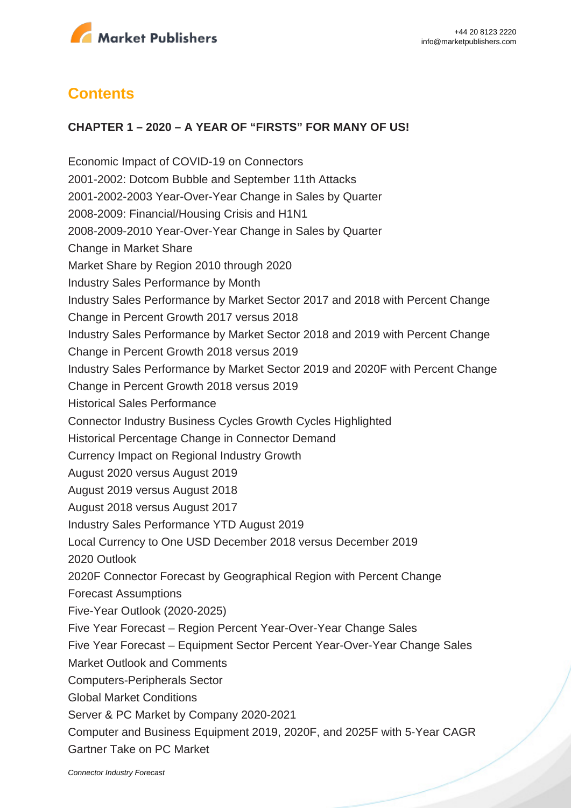

## **Contents**

#### **CHAPTER 1 – 2020 – A YEAR OF "FIRSTS" FOR MANY OF US!**

Economic Impact of COVID-19 on Connectors 2001-2002: Dotcom Bubble and September 11th Attacks 2001-2002-2003 Year-Over-Year Change in Sales by Quarter 2008-2009: Financial/Housing Crisis and H1N1 2008-2009-2010 Year-Over-Year Change in Sales by Quarter Change in Market Share Market Share by Region 2010 through 2020 Industry Sales Performance by Month Industry Sales Performance by Market Sector 2017 and 2018 with Percent Change Change in Percent Growth 2017 versus 2018 Industry Sales Performance by Market Sector 2018 and 2019 with Percent Change Change in Percent Growth 2018 versus 2019 Industry Sales Performance by Market Sector 2019 and 2020F with Percent Change Change in Percent Growth 2018 versus 2019 Historical Sales Performance Connector Industry Business Cycles Growth Cycles Highlighted Historical Percentage Change in Connector Demand Currency Impact on Regional Industry Growth August 2020 versus August 2019 August 2019 versus August 2018 August 2018 versus August 2017 Industry Sales Performance YTD August 2019 Local Currency to One USD December 2018 versus December 2019 2020 Outlook 2020F Connector Forecast by Geographical Region with Percent Change Forecast Assumptions Five-Year Outlook (2020-2025) Five Year Forecast – Region Percent Year-Over-Year Change Sales Five Year Forecast – Equipment Sector Percent Year-Over-Year Change Sales Market Outlook and Comments Computers-Peripherals Sector Global Market Conditions Server & PC Market by Company 2020-2021 Computer and Business Equipment 2019, 2020F, and 2025F with 5-Year CAGR Gartner Take on PC Market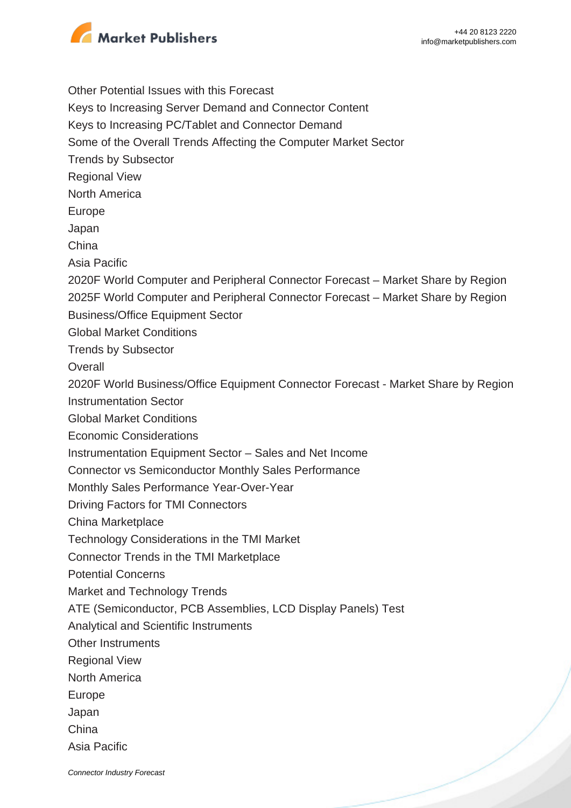

Other Potential Issues with this Forecast Keys to Increasing Server Demand and Connector Content Keys to Increasing PC/Tablet and Connector Demand Some of the Overall Trends Affecting the Computer Market Sector Trends by Subsector Regional View North America Europe Japan China Asia Pacific 2020F World Computer and Peripheral Connector Forecast – Market Share by Region 2025F World Computer and Peripheral Connector Forecast – Market Share by Region Business/Office Equipment Sector Global Market Conditions Trends by Subsector **Overall** 2020F World Business/Office Equipment Connector Forecast - Market Share by Region Instrumentation Sector Global Market Conditions Economic Considerations Instrumentation Equipment Sector – Sales and Net Income Connector vs Semiconductor Monthly Sales Performance Monthly Sales Performance Year-Over-Year Driving Factors for TMI Connectors China Marketplace Technology Considerations in the TMI Market Connector Trends in the TMI Marketplace Potential Concerns Market and Technology Trends ATE (Semiconductor, PCB Assemblies, LCD Display Panels) Test Analytical and Scientific Instruments Other Instruments Regional View North America Europe Japan China Asia Pacific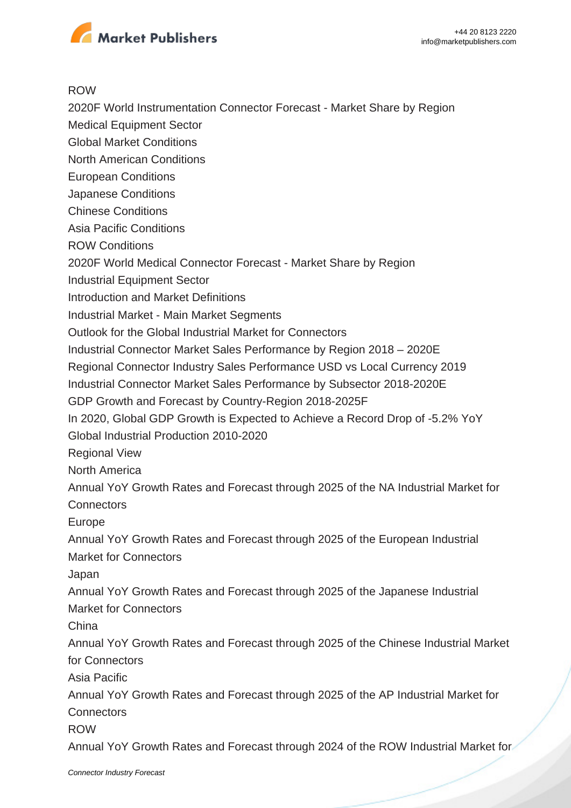

#### ROW

2020F World Instrumentation Connector Forecast - Market Share by Region

- Medical Equipment Sector
- Global Market Conditions
- North American Conditions
- European Conditions
- Japanese Conditions
- Chinese Conditions
- Asia Pacific Conditions
- ROW Conditions
- 2020F World Medical Connector Forecast Market Share by Region
- Industrial Equipment Sector
- Introduction and Market Definitions
- Industrial Market Main Market Segments
- Outlook for the Global Industrial Market for Connectors
- Industrial Connector Market Sales Performance by Region 2018 2020E
- Regional Connector Industry Sales Performance USD vs Local Currency 2019
- Industrial Connector Market Sales Performance by Subsector 2018-2020E
- GDP Growth and Forecast by Country-Region 2018-2025F
- In 2020, Global GDP Growth is Expected to Achieve a Record Drop of -5.2% YoY Global Industrial Production 2010-2020
- Regional View
- North America
- Annual YoY Growth Rates and Forecast through 2025 of the NA Industrial Market for **Connectors**
- Europe
- Annual YoY Growth Rates and Forecast through 2025 of the European Industrial Market for Connectors
- Japan
- Annual YoY Growth Rates and Forecast through 2025 of the Japanese Industrial Market for Connectors
- China
- Annual YoY Growth Rates and Forecast through 2025 of the Chinese Industrial Market for Connectors
- Asia Pacific
- Annual YoY Growth Rates and Forecast through 2025 of the AP Industrial Market for **Connectors**
- ROW

Annual YoY Growth Rates and Forecast through 2024 of the ROW Industrial Market for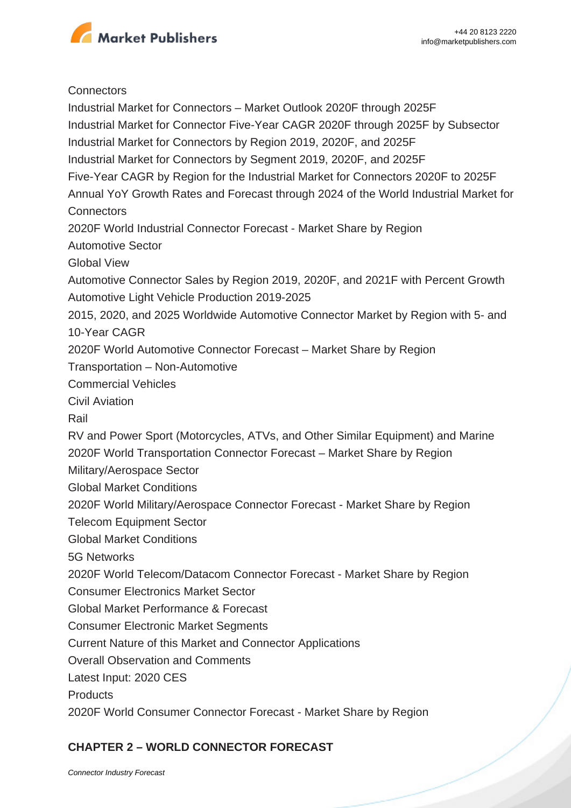

#### **Connectors**

Industrial Market for Connectors – Market Outlook 2020F through 2025F Industrial Market for Connector Five-Year CAGR 2020F through 2025F by Subsector Industrial Market for Connectors by Region 2019, 2020F, and 2025F Industrial Market for Connectors by Segment 2019, 2020F, and 2025F Five-Year CAGR by Region for the Industrial Market for Connectors 2020F to 2025F Annual YoY Growth Rates and Forecast through 2024 of the World Industrial Market for **Connectors** 2020F World Industrial Connector Forecast - Market Share by Region Automotive Sector Global View Automotive Connector Sales by Region 2019, 2020F, and 2021F with Percent Growth Automotive Light Vehicle Production 2019-2025 2015, 2020, and 2025 Worldwide Automotive Connector Market by Region with 5- and 10-Year CAGR 2020F World Automotive Connector Forecast – Market Share by Region Transportation – Non-Automotive Commercial Vehicles Civil Aviation Rail RV and Power Sport (Motorcycles, ATVs, and Other Similar Equipment) and Marine 2020F World Transportation Connector Forecast – Market Share by Region Military/Aerospace Sector Global Market Conditions 2020F World Military/Aerospace Connector Forecast - Market Share by Region Telecom Equipment Sector Global Market Conditions 5G Networks 2020F World Telecom/Datacom Connector Forecast - Market Share by Region Consumer Electronics Market Sector Global Market Performance & Forecast Consumer Electronic Market Segments Current Nature of this Market and Connector Applications Overall Observation and Comments Latest Input: 2020 CES **Products** 2020F World Consumer Connector Forecast - Market Share by Region

### **CHAPTER 2 – WORLD CONNECTOR FORECAST**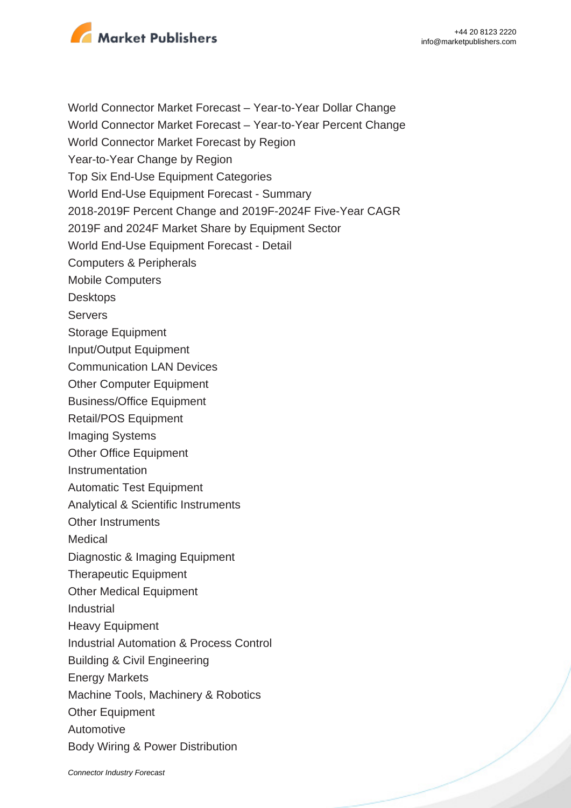

World Connector Market Forecast – Year-to-Year Dollar Change

World Connector Market Forecast – Year-to-Year Percent Change

World Connector Market Forecast by Region

Year-to-Year Change by Region

Top Six End-Use Equipment Categories

World End-Use Equipment Forecast - Summary

2018-2019F Percent Change and 2019F-2024F Five-Year CAGR

2019F and 2024F Market Share by Equipment Sector

World End-Use Equipment Forecast - Detail

Computers & Peripherals

Mobile Computers

**Desktops** 

Servers

- Storage Equipment
- Input/Output Equipment

Communication LAN Devices

Other Computer Equipment

Business/Office Equipment

Retail/POS Equipment

Imaging Systems

Other Office Equipment

Instrumentation

Automatic Test Equipment

Analytical & Scientific Instruments

Other Instruments

Medical

Diagnostic & Imaging Equipment

Therapeutic Equipment

Other Medical Equipment

Industrial

Heavy Equipment

Industrial Automation & Process Control

Building & Civil Engineering

Energy Markets

Machine Tools, Machinery & Robotics

**Other Equipment** 

Automotive

Body Wiring & Power Distribution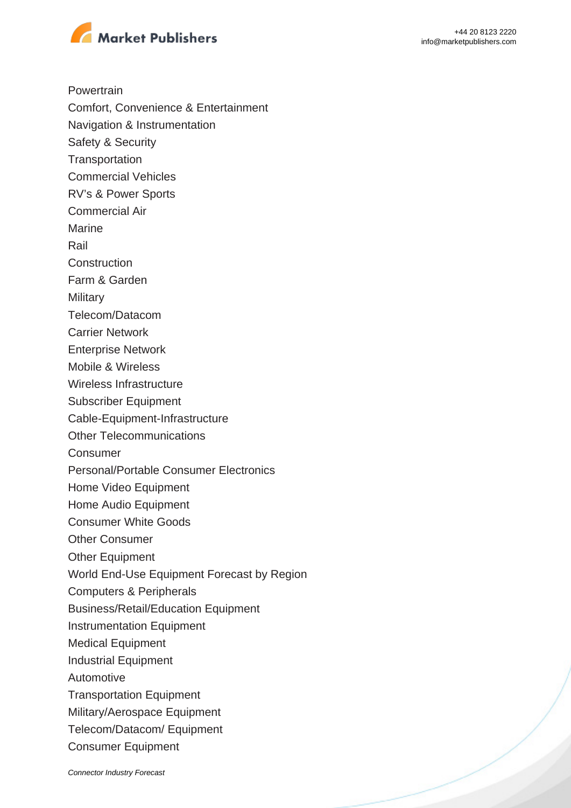

**Powertrain** 

- Comfort, Convenience & Entertainment
- Navigation & Instrumentation
- Safety & Security
- **Transportation**
- Commercial Vehicles
- RV's & Power Sports
- Commercial Air
- Marine

Rail

- **Construction**
- Farm & Garden

**Military** 

- Telecom/Datacom
- Carrier Network
- Enterprise Network
- Mobile & Wireless
- Wireless Infrastructure
- Subscriber Equipment
- Cable-Equipment-Infrastructure
- Other Telecommunications
- Consumer
- Personal/Portable Consumer Electronics
- Home Video Equipment
- Home Audio Equipment
- Consumer White Goods
- Other Consumer
- Other Equipment
- World End-Use Equipment Forecast by Region
- Computers & Peripherals
- Business/Retail/Education Equipment
- Instrumentation Equipment
- Medical Equipment
- Industrial Equipment
- Automotive
- Transportation Equipment
- Military/Aerospace Equipment
- Telecom/Datacom/ Equipment
- Consumer Equipment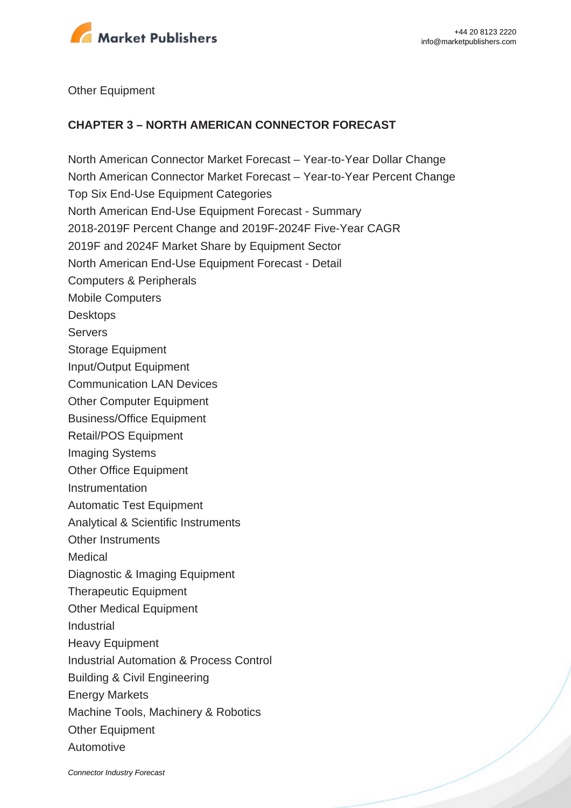

#### Other Equipment

#### **CHAPTER 3 – NORTH AMERICAN CONNECTOR FORECAST**

North American Connector Market Forecast – Year-to-Year Dollar Change North American Connector Market Forecast – Year-to-Year Percent Change Top Six End-Use Equipment Categories North American End-Use Equipment Forecast - Summary 2018-2019F Percent Change and 2019F-2024F Five-Year CAGR 2019F and 2024F Market Share by Equipment Sector North American End-Use Equipment Forecast - Detail Computers & Peripherals Mobile Computers **Desktops** Servers Storage Equipment Input/Output Equipment Communication LAN Devices Other Computer Equipment Business/Office Equipment Retail/POS Equipment Imaging Systems Other Office Equipment Instrumentation Automatic Test Equipment Analytical & Scientific Instruments Other Instruments Medical Diagnostic & Imaging Equipment Therapeutic Equipment Other Medical Equipment Industrial Heavy Equipment Industrial Automation & Process Control Building & Civil Engineering Energy Markets Machine Tools, Machinery & Robotics Other Equipment Automotive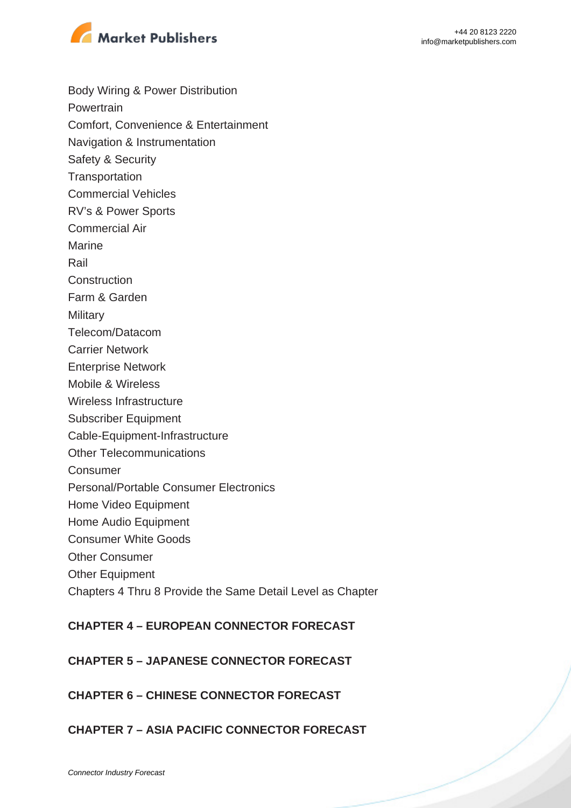

Body Wiring & Power Distribution **Powertrain** Comfort, Convenience & Entertainment Navigation & Instrumentation Safety & Security **Transportation** Commercial Vehicles RV's & Power Sports Commercial Air Marine Rail **Construction** Farm & Garden **Military** Telecom/Datacom Carrier Network Enterprise Network Mobile & Wireless Wireless Infrastructure Subscriber Equipment Cable-Equipment-Infrastructure Other Telecommunications Consumer Personal/Portable Consumer Electronics Home Video Equipment Home Audio Equipment Consumer White Goods Other Consumer **Other Equipment** Chapters 4 Thru 8 Provide the Same Detail Level as Chapter

## **CHAPTER 4 – EUROPEAN CONNECTOR FORECAST**

## **CHAPTER 5 – JAPANESE CONNECTOR FORECAST**

## **CHAPTER 6 – CHINESE CONNECTOR FORECAST**

## **CHAPTER 7 – ASIA PACIFIC CONNECTOR FORECAST**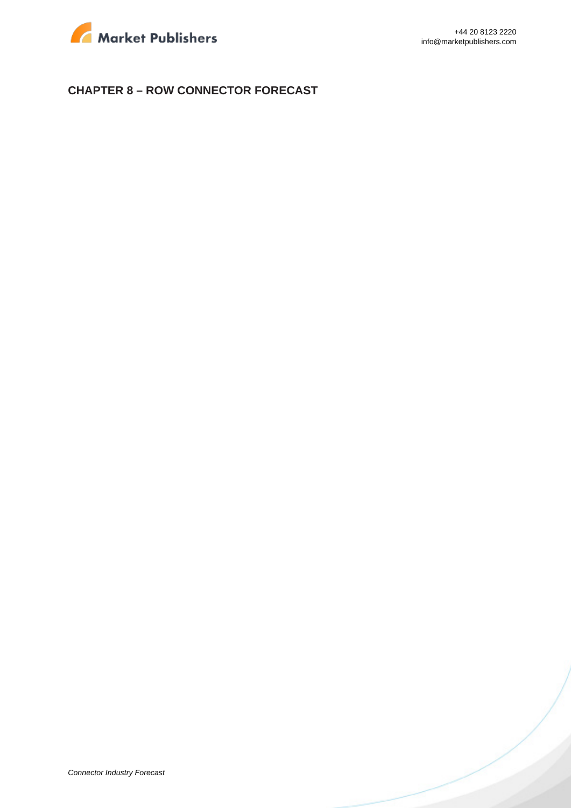

### **CHAPTER 8 – ROW CONNECTOR FORECAST**